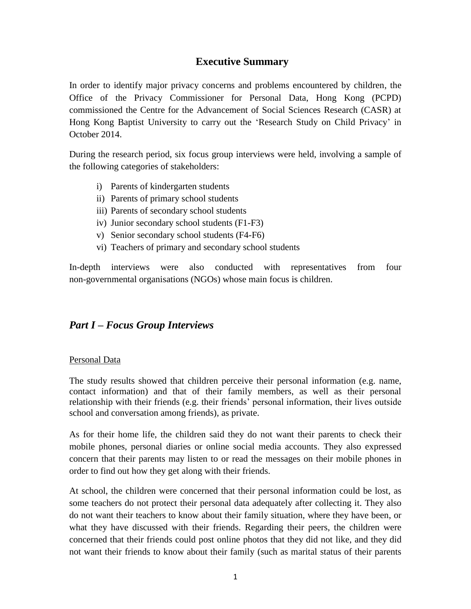# **Executive Summary**

In order to identify major privacy concerns and problems encountered by children, the Office of the Privacy Commissioner for Personal Data, Hong Kong (PCPD) commissioned the Centre for the Advancement of Social Sciences Research (CASR) at Hong Kong Baptist University to carry out the 'Research Study on Child Privacy' in October 2014.

During the research period, six focus group interviews were held, involving a sample of the following categories of stakeholders:

- i) Parents of kindergarten students
- ii) Parents of primary school students
- iii) Parents of secondary school students
- iv) Junior secondary school students (F1-F3)
- v) Senior secondary school students (F4-F6)
- vi) Teachers of primary and secondary school students

In-depth interviews were also conducted with representatives from four non-governmental organisations (NGOs) whose main focus is children.

# *Part I – Focus Group Interviews*

# Personal Data

The study results showed that children perceive their personal information (e.g. name, contact information) and that of their family members, as well as their personal relationship with their friends (e.g. their friends' personal information, their lives outside school and conversation among friends), as private.

As for their home life, the children said they do not want their parents to check their mobile phones, personal diaries or online social media accounts. They also expressed concern that their parents may listen to or read the messages on their mobile phones in order to find out how they get along with their friends.

At school, the children were concerned that their personal information could be lost, as some teachers do not protect their personal data adequately after collecting it. They also do not want their teachers to know about their family situation, where they have been, or what they have discussed with their friends. Regarding their peers, the children were concerned that their friends could post online photos that they did not like, and they did not want their friends to know about their family (such as marital status of their parents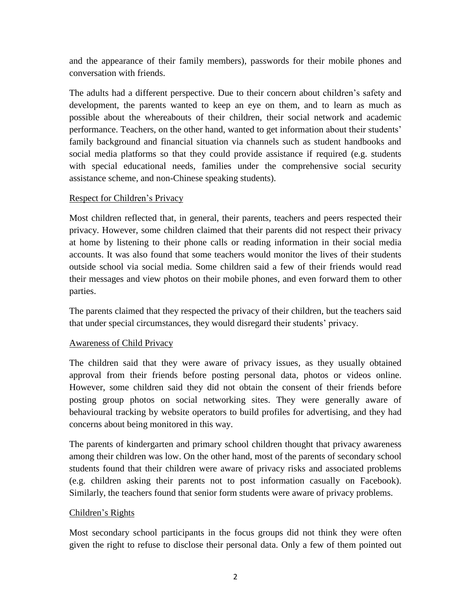and the appearance of their family members), passwords for their mobile phones and conversation with friends.

The adults had a different perspective. Due to their concern about children's safety and development, the parents wanted to keep an eye on them, and to learn as much as possible about the whereabouts of their children, their social network and academic performance. Teachers, on the other hand, wanted to get information about their students' family background and financial situation via channels such as student handbooks and social media platforms so that they could provide assistance if required (e.g. students with special educational needs, families under the comprehensive social security assistance scheme, and non-Chinese speaking students).

# Respect for Children's Privacy

Most children reflected that, in general, their parents, teachers and peers respected their privacy. However, some children claimed that their parents did not respect their privacy at home by listening to their phone calls or reading information in their social media accounts. It was also found that some teachers would monitor the lives of their students outside school via social media. Some children said a few of their friends would read their messages and view photos on their mobile phones, and even forward them to other parties.

The parents claimed that they respected the privacy of their children, but the teachers said that under special circumstances, they would disregard their students' privacy.

# Awareness of Child Privacy

The children said that they were aware of privacy issues, as they usually obtained approval from their friends before posting personal data, photos or videos online. However, some children said they did not obtain the consent of their friends before posting group photos on social networking sites. They were generally aware of behavioural tracking by website operators to build profiles for advertising, and they had concerns about being monitored in this way.

The parents of kindergarten and primary school children thought that privacy awareness among their children was low. On the other hand, most of the parents of secondary school students found that their children were aware of privacy risks and associated problems (e.g. children asking their parents not to post information casually on Facebook). Similarly, the teachers found that senior form students were aware of privacy problems.

# Children's Rights

Most secondary school participants in the focus groups did not think they were often given the right to refuse to disclose their personal data. Only a few of them pointed out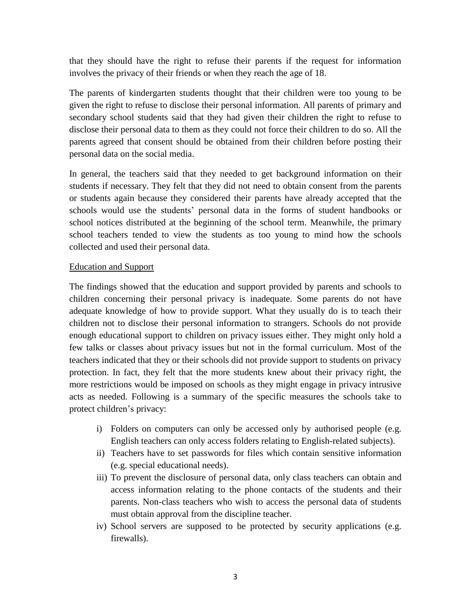that they should have the right to refuse their parents if the request for information involves the privacy of their friends or when they reach the age of 18.

The parents of kindergarten students thought that their children were too young to be given the right to refuse to disclose their personal information. All parents of primary and secondary school students said that they had given their children the right to refuse to disclose their personal data to them as they could not force their children to do so. All the parents agreed that consent should be obtained from their children before posting their personal data on the social media.

In general, the teachers said that they needed to get background information on their students if necessary. They felt that they did not need to obtain consent from the parents or students again because they considered their parents have already accepted that the schools would use the students' personal data in the forms of student handbooks or school notices distributed at the beginning of the school term. Meanwhile, the primary school teachers tended to view the students as too young to mind how the schools collected and used their personal data.

## Education and Support

The findings showed that the education and support provided by parents and schools to children concerning their personal privacy is inadequate. Some parents do not have adequate knowledge of how to provide support. What they usually do is to teach their children not to disclose their personal information to strangers. Schools do not provide enough educational support to children on privacy issues either. They might only hold a few talks or classes about privacy issues but not in the formal curriculum. Most of the teachers indicated that they or their schools did not provide support to students on privacy protection. In fact, they felt that the more students knew about their privacy right, the more restrictions would be imposed on schools as they might engage in privacy intrusive acts as needed. Following is a summary of the specific measures the schools take to protect children's privacy:

- i) Folders on computers can only be accessed only by authorised people (e.g. English teachers can only access folders relating to English-related subjects).
- ii) Teachers have to set passwords for files which contain sensitive information (e.g. special educational needs).
- iii) To prevent the disclosure of personal data, only class teachers can obtain and access information relating to the phone contacts of the students and their parents. Non-class teachers who wish to access the personal data of students must obtain approval from the discipline teacher.
- iv) School servers are supposed to be protected by security applications (e.g. firewalls).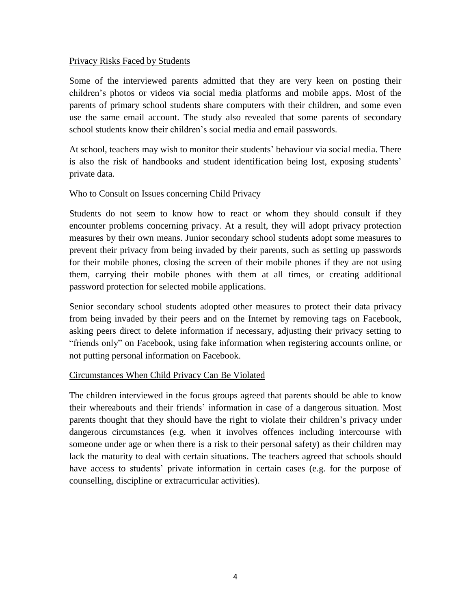#### Privacy Risks Faced by Students

Some of the interviewed parents admitted that they are very keen on posting their children's photos or videos via social media platforms and mobile apps. Most of the parents of primary school students share computers with their children, and some even use the same email account. The study also revealed that some parents of secondary school students know their children's social media and email passwords.

At school, teachers may wish to monitor their students' behaviour via social media. There is also the risk of handbooks and student identification being lost, exposing students' private data.

## Who to Consult on Issues concerning Child Privacy

Students do not seem to know how to react or whom they should consult if they encounter problems concerning privacy. At a result, they will adopt privacy protection measures by their own means. Junior secondary school students adopt some measures to prevent their privacy from being invaded by their parents, such as setting up passwords for their mobile phones, closing the screen of their mobile phones if they are not using them, carrying their mobile phones with them at all times, or creating additional password protection for selected mobile applications.

Senior secondary school students adopted other measures to protect their data privacy from being invaded by their peers and on the Internet by removing tags on Facebook, asking peers direct to delete information if necessary, adjusting their privacy setting to "friends only" on Facebook, using fake information when registering accounts online, or not putting personal information on Facebook.

#### Circumstances When Child Privacy Can Be Violated

The children interviewed in the focus groups agreed that parents should be able to know their whereabouts and their friends' information in case of a dangerous situation. Most parents thought that they should have the right to violate their children's privacy under dangerous circumstances (e.g. when it involves offences including intercourse with someone under age or when there is a risk to their personal safety) as their children may lack the maturity to deal with certain situations. The teachers agreed that schools should have access to students' private information in certain cases (e.g. for the purpose of counselling, discipline or extracurricular activities).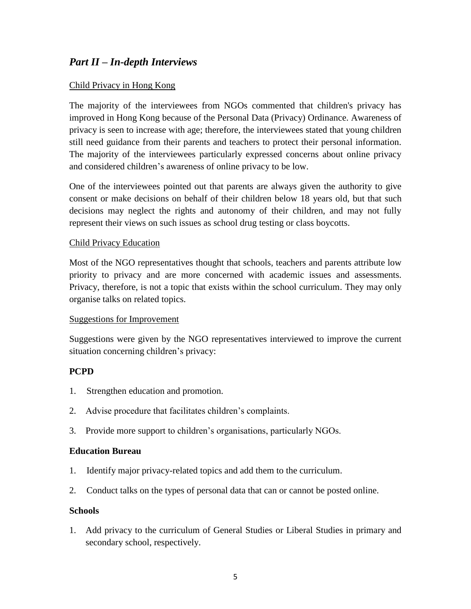# *Part II – In-depth Interviews*

## Child Privacy in Hong Kong

The majority of the interviewees from NGOs commented that children's privacy has improved in Hong Kong because of the Personal Data (Privacy) Ordinance. Awareness of privacy is seen to increase with age; therefore, the interviewees stated that young children still need guidance from their parents and teachers to protect their personal information. The majority of the interviewees particularly expressed concerns about online privacy and considered children's awareness of online privacy to be low.

One of the interviewees pointed out that parents are always given the authority to give consent or make decisions on behalf of their children below 18 years old, but that such decisions may neglect the rights and autonomy of their children, and may not fully represent their views on such issues as school drug testing or class boycotts.

#### Child Privacy Education

Most of the NGO representatives thought that schools, teachers and parents attribute low priority to privacy and are more concerned with academic issues and assessments. Privacy, therefore, is not a topic that exists within the school curriculum. They may only organise talks on related topics.

#### Suggestions for Improvement

Suggestions were given by the NGO representatives interviewed to improve the current situation concerning children's privacy:

#### **PCPD**

- 1. Strengthen education and promotion.
- 2. Advise procedure that facilitates children's complaints.
- 3. Provide more support to children's organisations, particularly NGOs.

#### **Education Bureau**

- 1. Identify major privacy-related topics and add them to the curriculum.
- 2. Conduct talks on the types of personal data that can or cannot be posted online.

#### **Schools**

1. Add privacy to the curriculum of General Studies or Liberal Studies in primary and secondary school, respectively.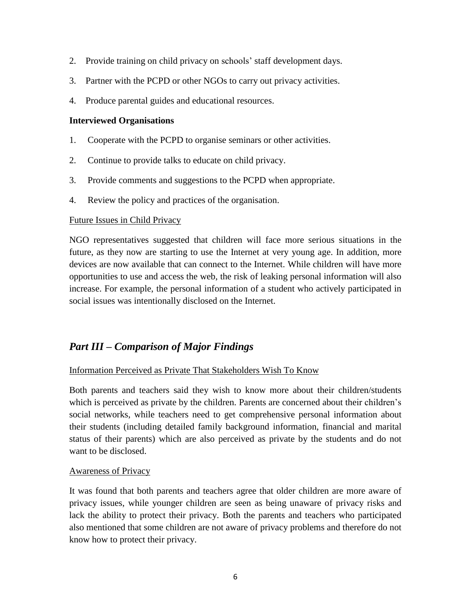- 2. Provide training on child privacy on schools' staff development days.
- 3. Partner with the PCPD or other NGOs to carry out privacy activities.
- 4. Produce parental guides and educational resources.

#### **Interviewed Organisations**

- 1. Cooperate with the PCPD to organise seminars or other activities.
- 2. Continue to provide talks to educate on child privacy.
- 3. Provide comments and suggestions to the PCPD when appropriate.
- 4. Review the policy and practices of the organisation.

#### Future Issues in Child Privacy

NGO representatives suggested that children will face more serious situations in the future, as they now are starting to use the Internet at very young age. In addition, more devices are now available that can connect to the Internet. While children will have more opportunities to use and access the web, the risk of leaking personal information will also increase. For example, the personal information of a student who actively participated in social issues was intentionally disclosed on the Internet.

# *Part III – Comparison of Major Findings*

#### Information Perceived as Private That Stakeholders Wish To Know

Both parents and teachers said they wish to know more about their children/students which is perceived as private by the children. Parents are concerned about their children's social networks, while teachers need to get comprehensive personal information about their students (including detailed family background information, financial and marital status of their parents) which are also perceived as private by the students and do not want to be disclosed.

#### Awareness of Privacy

It was found that both parents and teachers agree that older children are more aware of privacy issues, while younger children are seen as being unaware of privacy risks and lack the ability to protect their privacy. Both the parents and teachers who participated also mentioned that some children are not aware of privacy problems and therefore do not know how to protect their privacy.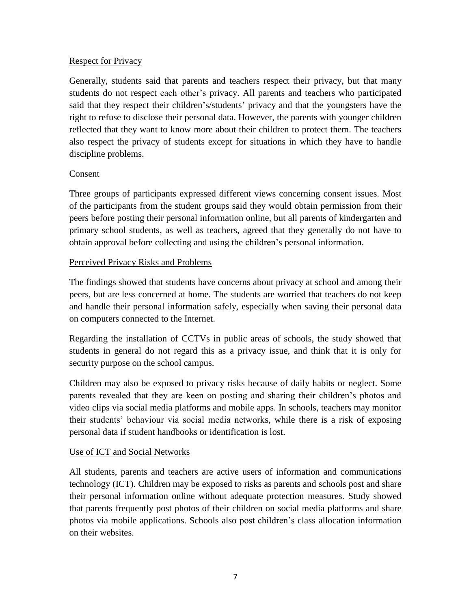## **Respect for Privacy**

Generally, students said that parents and teachers respect their privacy, but that many students do not respect each other's privacy. All parents and teachers who participated said that they respect their children's/students' privacy and that the youngsters have the right to refuse to disclose their personal data. However, the parents with younger children reflected that they want to know more about their children to protect them. The teachers also respect the privacy of students except for situations in which they have to handle discipline problems.

## Consent

Three groups of participants expressed different views concerning consent issues. Most of the participants from the student groups said they would obtain permission from their peers before posting their personal information online, but all parents of kindergarten and primary school students, as well as teachers, agreed that they generally do not have to obtain approval before collecting and using the children's personal information.

# Perceived Privacy Risks and Problems

The findings showed that students have concerns about privacy at school and among their peers, but are less concerned at home. The students are worried that teachers do not keep and handle their personal information safely, especially when saving their personal data on computers connected to the Internet.

Regarding the installation of CCTVs in public areas of schools, the study showed that students in general do not regard this as a privacy issue, and think that it is only for security purpose on the school campus.

Children may also be exposed to privacy risks because of daily habits or neglect. Some parents revealed that they are keen on posting and sharing their children's photos and video clips via social media platforms and mobile apps. In schools, teachers may monitor their students' behaviour via social media networks, while there is a risk of exposing personal data if student handbooks or identification is lost.

# Use of ICT and Social Networks

All students, parents and teachers are active users of information and communications technology (ICT). Children may be exposed to risks as parents and schools post and share their personal information online without adequate protection measures. Study showed that parents frequently post photos of their children on social media platforms and share photos via mobile applications. Schools also post children's class allocation information on their websites.